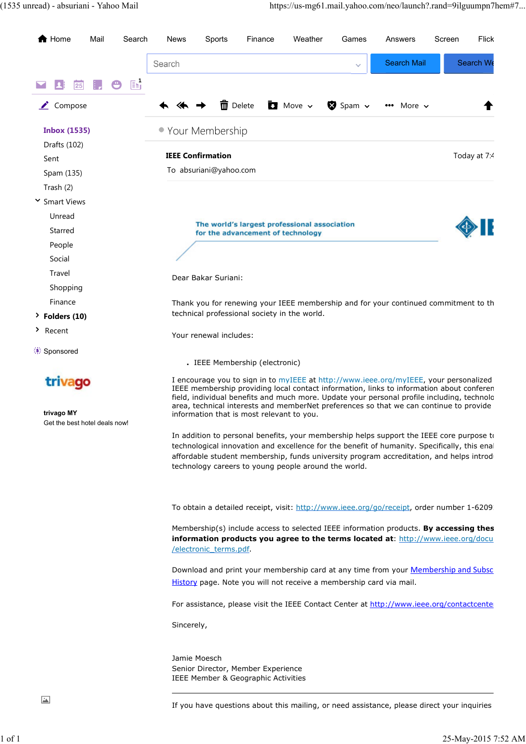